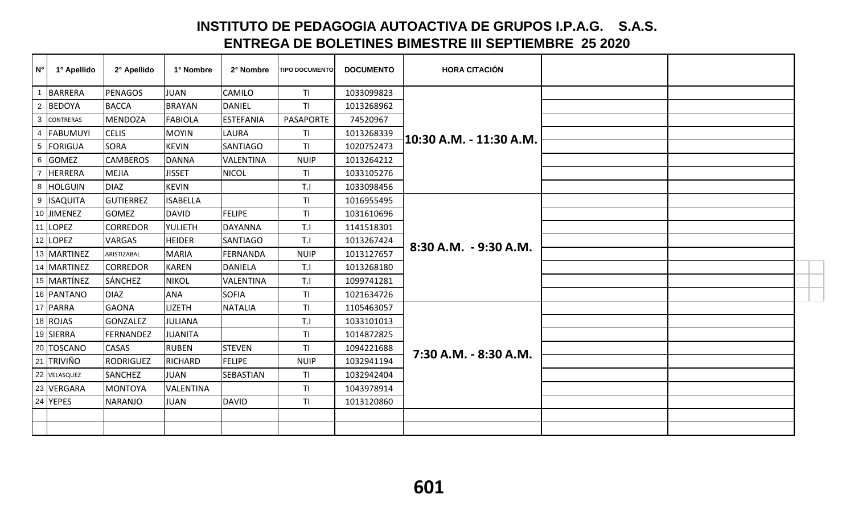## **INSTITUTO DE PEDAGOGIA AUTOACTIVA DE GRUPOS I.P.A.G. S.A.S. ENTREGA DE BOLETINES BIMESTRE III SEPTIEMBRE 25 2020**

| $N^{\circ}$    | 1° Apellido    | 2° Apellido      | 1° Nombre       | 2° Nombre        | <b>TIPO DOCUMENTO</b> | <b>DOCUMENTO</b> | <b>HORA CITACIÓN</b>    |  |  |
|----------------|----------------|------------------|-----------------|------------------|-----------------------|------------------|-------------------------|--|--|
|                | 1 BARRERA      | <b>PENAGOS</b>   | <b>JUAN</b>     | CAMILO           | <b>TI</b>             | 1033099823       |                         |  |  |
|                | 2 BEDOYA       | <b>BACCA</b>     | <b>BRAYAN</b>   | DANIEL           | ΤI                    | 1013268962       |                         |  |  |
|                | 3 CONTRERAS    | <b>MENDOZA</b>   | <b>FABIOLA</b>  | <b>ESTEFANIA</b> | PASAPORTE             | 74520967         |                         |  |  |
|                | 4   FABUMUYI   | <b>CELIS</b>     | <b>MOYIN</b>    | LAURA            | <b>TI</b>             | 1013268339       | 10:30 A.M. - 11:30 A.M. |  |  |
|                | 5 FORIGUA      | SORA             | <b>KEVIN</b>    | <b>SANTIAGO</b>  | <b>TI</b>             | 1020752473       |                         |  |  |
|                | 6 GOMEZ        | <b>CAMBEROS</b>  | DANNA           | <b>VALENTINA</b> | <b>NUIP</b>           | 1013264212       |                         |  |  |
| $\overline{7}$ | <b>HERRERA</b> | <b>MEJIA</b>     | <b>JISSET</b>   | NICOL            | TI                    | 1033105276       |                         |  |  |
|                | 8 HOLGUIN      | <b>DIAZ</b>      | <b>KEVIN</b>    |                  | T.I                   | 1033098456       |                         |  |  |
|                | 9 ISAQUITA     | <b>GUTIERREZ</b> | <b>ISABELLA</b> |                  | TI                    | 1016955495       |                         |  |  |
|                | 10 JIMENEZ     | <b>GOMEZ</b>     | <b>DAVID</b>    | <b>FELIPE</b>    | <b>TI</b>             | 1031610696       |                         |  |  |
|                | 11 LOPEZ       | <b>CORREDOR</b>  | YULIETH         | DAYANNA          | T.I                   | 1141518301       |                         |  |  |
|                | 12 LOPEZ       | <b>VARGAS</b>    | <b>HEIDER</b>   | SANTIAGO         | T.I                   | 1013267424       | 8:30 A.M. - 9:30 A.M.   |  |  |
|                | 13 MARTINEZ    | ARISTIZABAL      | <b>MARIA</b>    | FERNANDA         | <b>NUIP</b>           | 1013127657       |                         |  |  |
|                | 14 MARTINEZ    | <b>CORREDOR</b>  | <b>KAREN</b>    | DANIELA          | T.I                   | 1013268180       |                         |  |  |
|                | 15 MARTÍNEZ    | <b>SÁNCHEZ</b>   | <b>NIKOL</b>    | <b>VALENTINA</b> | T.I                   | 1099741281       |                         |  |  |
|                | 16 PANTANO     | <b>DIAZ</b>      | <b>ANA</b>      | SOFIA            | TI                    | 1021634726       |                         |  |  |
|                | 17 PARRA       | <b>GAONA</b>     | <b>LIZETH</b>   | NATALIA          | TI                    | 1105463057       |                         |  |  |
|                | 18 ROJAS       | <b>GONZALEZ</b>  | <b>JULIANA</b>  |                  | T.I                   | 1033101013       |                         |  |  |
|                | 19 SIERRA      | <b>FERNANDEZ</b> | <b>JUANITA</b>  |                  | TI                    | 1014872825       |                         |  |  |
|                | 20 TOSCANO     | <b>CASAS</b>     | <b>RUBEN</b>    | <b>STEVEN</b>    | <b>TI</b>             | 1094221688       | 7:30 A.M. - 8:30 A.M.   |  |  |
|                | 21 TRIVIÑO     | <b>RODRIGUEZ</b> | <b>RICHARD</b>  | <b>FELIPE</b>    | <b>NUIP</b>           | 1032941194       |                         |  |  |
|                | 22 VELASQUEZ   | <b>SANCHEZ</b>   | <b>JUAN</b>     | SEBASTIAN        | TI                    | 1032942404       |                         |  |  |
|                | 23 VERGARA     | <b>MONTOYA</b>   | VALENTINA       |                  | TI                    | 1043978914       |                         |  |  |
|                | 24 YEPES       | <b>NARANJO</b>   | <b>JUAN</b>     | DAVID            | <b>TI</b>             | 1013120860       |                         |  |  |
|                |                |                  |                 |                  |                       |                  |                         |  |  |
|                |                |                  |                 |                  |                       |                  |                         |  |  |